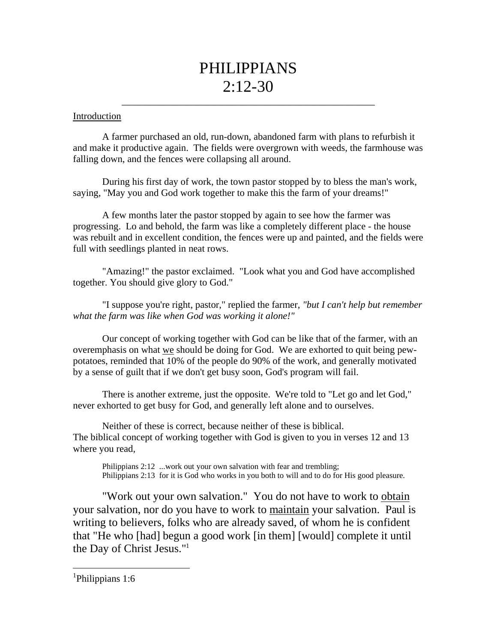# PHILIPPIANS 2:12-30

\_\_\_\_\_\_\_\_\_\_\_\_\_\_\_\_\_\_\_\_\_\_\_\_\_\_\_\_\_\_\_\_\_\_\_\_\_\_\_\_\_\_\_\_\_\_\_\_\_\_\_\_

#### Introduction

A farmer purchased an old, run-down, abandoned farm with plans to refurbish it and make it productive again. The fields were overgrown with weeds, the farmhouse was falling down, and the fences were collapsing all around.

During his first day of work, the town pastor stopped by to bless the man's work, saying, "May you and God work together to make this the farm of your dreams!"

A few months later the pastor stopped by again to see how the farmer was progressing. Lo and behold, the farm was like a completely different place - the house was rebuilt and in excellent condition, the fences were up and painted, and the fields were full with seedlings planted in neat rows.

"Amazing!" the pastor exclaimed. "Look what you and God have accomplished together. You should give glory to God."

"I suppose you're right, pastor," replied the farmer, *"but I can't help but remember what the farm was like when God was working it alone!"*

Our concept of working together with God can be like that of the farmer, with an overemphasis on what we should be doing for God. We are exhorted to quit being pewpotatoes, reminded that 10% of the people do 90% of the work, and generally motivated by a sense of guilt that if we don't get busy soon, God's program will fail.

There is another extreme, just the opposite. We're told to "Let go and let God," never exhorted to get busy for God, and generally left alone and to ourselves.

Neither of these is correct, because neither of these is biblical. The biblical concept of working together with God is given to you in verses 12 and 13 where you read,

Philippians 2:12 ...work out your own salvation with fear and trembling; Philippians 2:13 for it is God who works in you both to will and to do for His good pleasure.

"Work out your own salvation." You do not have to work to obtain your salvation, nor do you have to work to maintain your salvation. Paul is writing to believers, folks who are already saved, of whom he is confident that "He who [had] begun a good work [in them] [would] complete it until the Day of Christ Jesus."1

<sup>1</sup>Philippians 1:6

l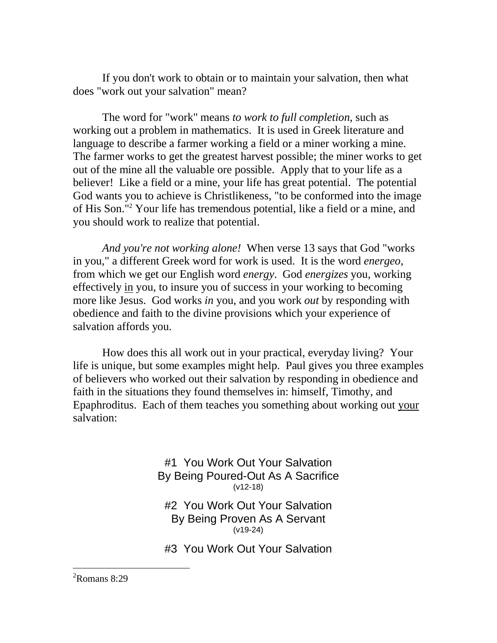If you don't work to obtain or to maintain your salvation, then what does "work out your salvation" mean?

The word for "work" means *to work to full completion*, such as working out a problem in mathematics. It is used in Greek literature and language to describe a farmer working a field or a miner working a mine. The farmer works to get the greatest harvest possible; the miner works to get out of the mine all the valuable ore possible. Apply that to your life as a believer! Like a field or a mine, your life has great potential. The potential God wants you to achieve is Christlikeness, "to be conformed into the image of His Son."2 Your life has tremendous potential, like a field or a mine, and you should work to realize that potential.

*And you're not working alone!* When verse 13 says that God "works in you," a different Greek word for work is used. It is the word *energeo*, from which we get our English word *energy*. God *energizes* you, working effectively in you, to insure you of success in your working to becoming more like Jesus. God works *in* you, and you work *out* by responding with obedience and faith to the divine provisions which your experience of salvation affords you.

How does this all work out in your practical, everyday living? Your life is unique, but some examples might help. Paul gives you three examples of believers who worked out their salvation by responding in obedience and faith in the situations they found themselves in: himself, Timothy, and Epaphroditus. Each of them teaches you something about working out your salvation:

> #1 You Work Out Your Salvation By Being Poured-Out As A Sacrifice (v12-18)

#2 You Work Out Your Salvation By Being Proven As A Servant (v19-24)

#3 You Work Out Your Salvation

<sup>2</sup>Romans 8:29

l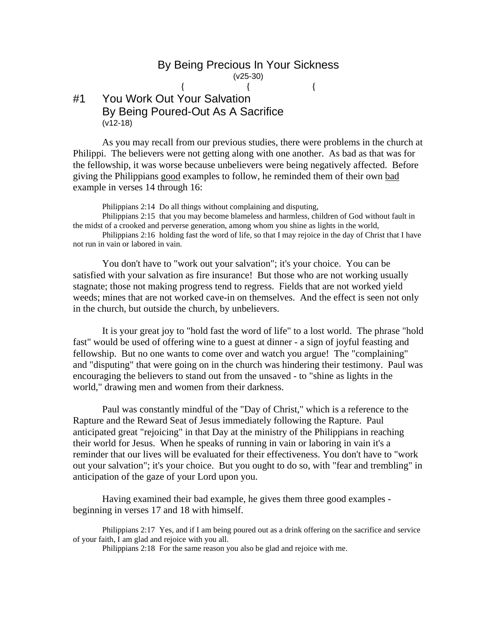#### By Being Precious In Your Sickness (v25-30) {  $\{$   $\}$

## #1 You Work Out Your Salvation By Being Poured-Out As A Sacrifice (v12-18)

As you may recall from our previous studies, there were problems in the church at Philippi. The believers were not getting along with one another. As bad as that was for the fellowship, it was worse because unbelievers were being negatively affected. Before giving the Philippians good examples to follow, he reminded them of their own bad example in verses 14 through 16:

Philippians 2:14 Do all things without complaining and disputing,

Philippians 2:15 that you may become blameless and harmless, children of God without fault in the midst of a crooked and perverse generation, among whom you shine as lights in the world,

Philippians 2:16 holding fast the word of life, so that I may rejoice in the day of Christ that I have not run in vain or labored in vain.

You don't have to "work out your salvation"; it's your choice. You can be satisfied with your salvation as fire insurance! But those who are not working usually stagnate; those not making progress tend to regress. Fields that are not worked yield weeds; mines that are not worked cave-in on themselves. And the effect is seen not only in the church, but outside the church, by unbelievers.

It is your great joy to "hold fast the word of life" to a lost world. The phrase "hold fast" would be used of offering wine to a guest at dinner - a sign of joyful feasting and fellowship. But no one wants to come over and watch you argue! The "complaining" and "disputing" that were going on in the church was hindering their testimony. Paul was encouraging the believers to stand out from the unsaved - to "shine as lights in the world," drawing men and women from their darkness.

Paul was constantly mindful of the "Day of Christ," which is a reference to the Rapture and the Reward Seat of Jesus immediately following the Rapture. Paul anticipated great "rejoicing" in that Day at the ministry of the Philippians in reaching their world for Jesus. When he speaks of running in vain or laboring in vain it's a reminder that our lives will be evaluated for their effectiveness. You don't have to "work out your salvation"; it's your choice. But you ought to do so, with "fear and trembling" in anticipation of the gaze of your Lord upon you.

Having examined their bad example, he gives them three good examples beginning in verses 17 and 18 with himself.

Philippians 2:17 Yes, and if I am being poured out as a drink offering on the sacrifice and service of your faith, I am glad and rejoice with you all.

Philippians 2:18 For the same reason you also be glad and rejoice with me.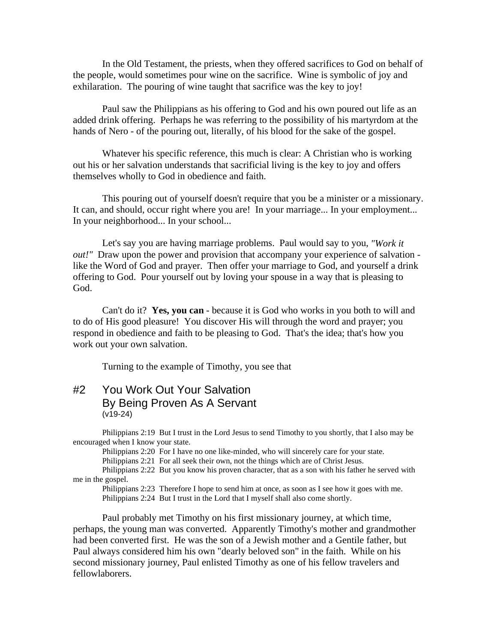In the Old Testament, the priests, when they offered sacrifices to God on behalf of the people, would sometimes pour wine on the sacrifice. Wine is symbolic of joy and exhilaration. The pouring of wine taught that sacrifice was the key to joy!

Paul saw the Philippians as his offering to God and his own poured out life as an added drink offering. Perhaps he was referring to the possibility of his martyrdom at the hands of Nero - of the pouring out, literally, of his blood for the sake of the gospel.

Whatever his specific reference, this much is clear: A Christian who is working out his or her salvation understands that sacrificial living is the key to joy and offers themselves wholly to God in obedience and faith.

This pouring out of yourself doesn't require that you be a minister or a missionary. It can, and should, occur right where you are! In your marriage... In your employment... In your neighborhood... In your school...

Let's say you are having marriage problems. Paul would say to you, *"Work it out!"* Draw upon the power and provision that accompany your experience of salvation like the Word of God and prayer. Then offer your marriage to God, and yourself a drink offering to God. Pour yourself out by loving your spouse in a way that is pleasing to God.

Can't do it? **Yes, you can** - because it is God who works in you both to will and to do of His good pleasure! You discover His will through the word and prayer; you respond in obedience and faith to be pleasing to God. That's the idea; that's how you work out your own salvation.

Turning to the example of Timothy, you see that

### #2 You Work Out Your Salvation By Being Proven As A Servant (v19-24)

Philippians 2:19 But I trust in the Lord Jesus to send Timothy to you shortly, that I also may be encouraged when I know your state.

Philippians 2:20 For I have no one like-minded, who will sincerely care for your state.

Philippians 2:21 For all seek their own, not the things which are of Christ Jesus.

Philippians 2:22 But you know his proven character, that as a son with his father he served with me in the gospel.

Philippians 2:23 Therefore I hope to send him at once, as soon as I see how it goes with me. Philippians 2:24 But I trust in the Lord that I myself shall also come shortly.

Paul probably met Timothy on his first missionary journey, at which time, perhaps, the young man was converted. Apparently Timothy's mother and grandmother had been converted first. He was the son of a Jewish mother and a Gentile father, but Paul always considered him his own "dearly beloved son" in the faith. While on his second missionary journey, Paul enlisted Timothy as one of his fellow travelers and fellowlaborers.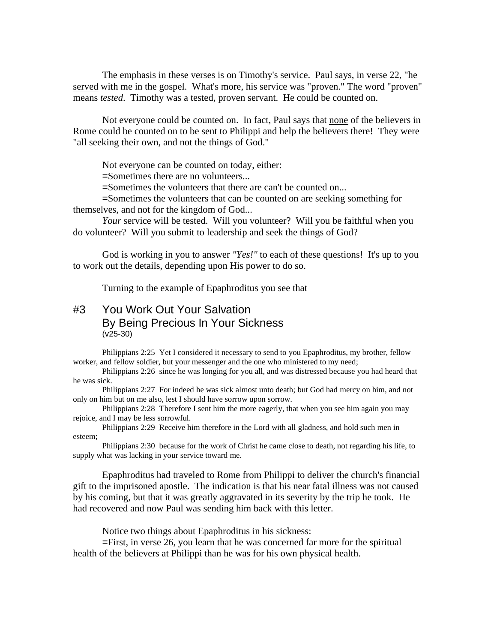The emphasis in these verses is on Timothy's service. Paul says, in verse 22, "he served with me in the gospel. What's more, his service was "proven." The word "proven" means *tested*. Timothy was a tested, proven servant. He could be counted on.

Not everyone could be counted on. In fact, Paul says that none of the believers in Rome could be counted on to be sent to Philippi and help the believers there! They were "all seeking their own, and not the things of God."

Not everyone can be counted on today, either:

=Sometimes there are no volunteers...

=Sometimes the volunteers that there are can't be counted on...

=Sometimes the volunteers that can be counted on are seeking something for themselves, and not for the kingdom of God...

*Your* service will be tested. Will you volunteer? Will you be faithful when you do volunteer? Will you submit to leadership and seek the things of God?

God is working in you to answer *"Yes!"* to each of these questions! It's up to you to work out the details, depending upon His power to do so.

Turning to the example of Epaphroditus you see that

## #3 You Work Out Your Salvation By Being Precious In Your Sickness (v25-30)

Philippians 2:25 Yet I considered it necessary to send to you Epaphroditus, my brother, fellow worker, and fellow soldier, but your messenger and the one who ministered to my need;

Philippians 2:26 since he was longing for you all, and was distressed because you had heard that he was sick.

Philippians 2:27 For indeed he was sick almost unto death; but God had mercy on him, and not only on him but on me also, lest I should have sorrow upon sorrow.

Philippians 2:28 Therefore I sent him the more eagerly, that when you see him again you may rejoice, and I may be less sorrowful.

Philippians 2:29 Receive him therefore in the Lord with all gladness, and hold such men in esteem;

Philippians 2:30 because for the work of Christ he came close to death, not regarding his life, to supply what was lacking in your service toward me.

Epaphroditus had traveled to Rome from Philippi to deliver the church's financial gift to the imprisoned apostle. The indication is that his near fatal illness was not caused by his coming, but that it was greatly aggravated in its severity by the trip he took. He had recovered and now Paul was sending him back with this letter.

Notice two things about Epaphroditus in his sickness:

=First, in verse 26, you learn that he was concerned far more for the spiritual health of the believers at Philippi than he was for his own physical health.